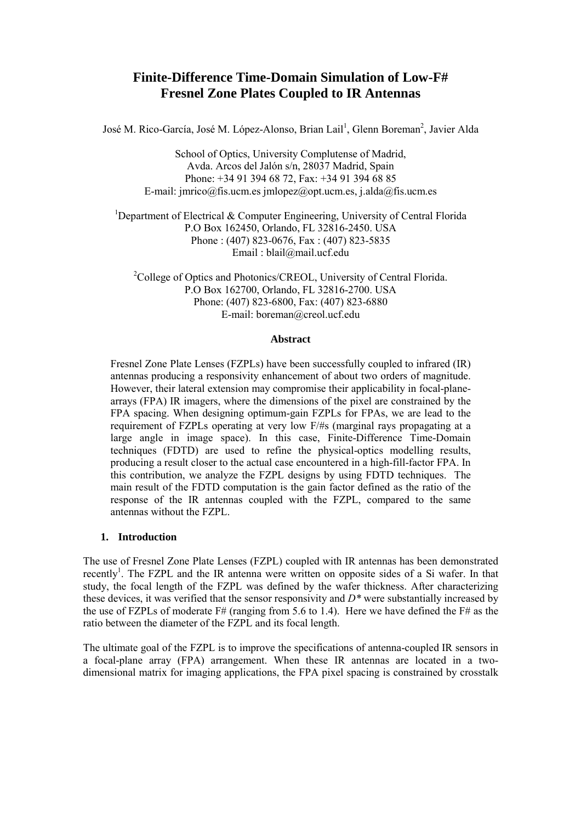# **Finite-Difference Time-Domain Simulation of Low-F# Fresnel Zone Plates Coupled to IR Antennas**

José M. Rico-García, José M. López-Alonso, Brian Lail<sup>1</sup>, Glenn Boreman<sup>2</sup>, Javier Alda

School of Optics, University Complutense of Madrid, Avda. Arcos del Jalón s/n, 28037 Madrid, Spain Phone: +34 91 394 68 72, Fax: +34 91 394 68 85 E-mail: jmrico@fis.ucm.es jmlopez@opt.ucm.es, j.alda@fis.ucm.es

<sup>1</sup>Department of Electrical & Computer Engineering, University of Central Florida P.O Box 162450, Orlando, FL 32816-2450. USA Phone : (407) 823-0676, Fax : (407) 823-5835 Email : blail@mail.ucf.edu

<sup>2</sup>College of Optics and Photonics/CREOL, University of Central Florida. P.O Box 162700, Orlando, FL 32816-2700. USA Phone: (407) 823-6800, Fax: (407) 823-6880 E-mail: boreman@creol.ucf.edu

#### **Abstract**

Fresnel Zone Plate Lenses (FZPLs) have been successfully coupled to infrared (IR) antennas producing a responsivity enhancement of about two orders of magnitude. However, their lateral extension may compromise their applicability in focal-planearrays (FPA) IR imagers, where the dimensions of the pixel are constrained by the FPA spacing. When designing optimum-gain FZPLs for FPAs, we are lead to the requirement of FZPLs operating at very low F/#s (marginal rays propagating at a large angle in image space). In this case, Finite-Difference Time-Domain techniques (FDTD) are used to refine the physical-optics modelling results, producing a result closer to the actual case encountered in a high-fill-factor FPA. In this contribution, we analyze the FZPL designs by using FDTD techniques. The main result of the FDTD computation is the gain factor defined as the ratio of the response of the IR antennas coupled with the FZPL, compared to the same antennas without the FZPL.

#### **1. Introduction**

The use of Fresnel Zone Plate Lenses (FZPL) coupled with IR antennas has been demonstrated recently<sup>1</sup>. The FZPL and the IR antenna were written on opposite sides of a Si wafer. In that study, the focal length of the FZPL was defined by the wafer thickness. After characterizing these devices, it was verified that the sensor responsivity and *D\** were substantially increased by the use of FZPLs of moderate F# (ranging from 5.6 to 1.4). Here we have defined the F# as the ratio between the diameter of the FZPL and its focal length.

The ultimate goal of the FZPL is to improve the specifications of antenna-coupled IR sensors in a focal-plane array (FPA) arrangement. When these IR antennas are located in a twodimensional matrix for imaging applications, the FPA pixel spacing is constrained by crosstalk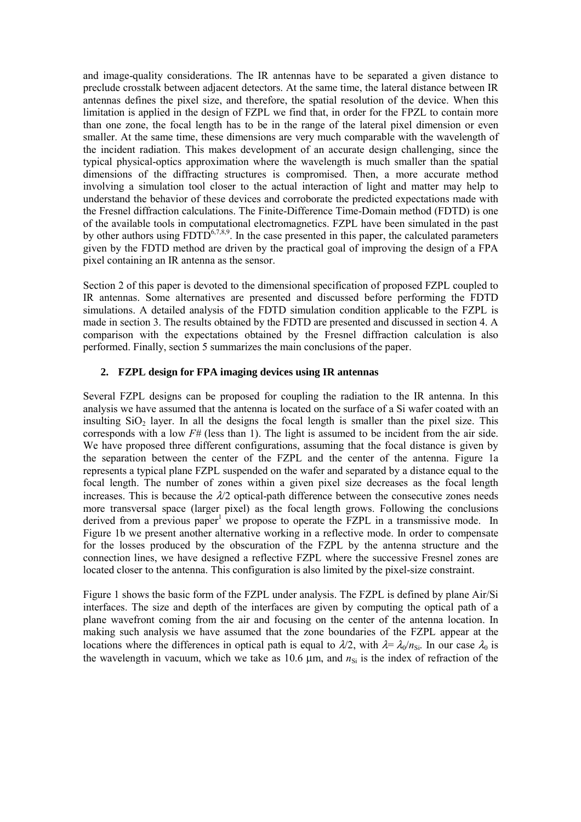and image-quality considerations. The IR antennas have to be separated a given distance to preclude crosstalk between adjacent detectors. At the same time, the lateral distance between IR antennas defines the pixel size, and therefore, the spatial resolution of the device. When this limitation is applied in the design of FZPL we find that, in order for the FPZL to contain more than one zone, the focal length has to be in the range of the lateral pixel dimension or even smaller. At the same time, these dimensions are very much comparable with the wavelength of the incident radiation. This makes development of an accurate design challenging, since the typical physical-optics approximation where the wavelength is much smaller than the spatial dimensions of the diffracting structures is compromised. Then, a more accurate method involving a simulation tool closer to the actual interaction of light and matter may help to understand the behavior of these devices and corroborate the predicted expectations made with the Fresnel diffraction calculations. The Finite-Difference Time-Domain method (FDTD) is one of the available tools in computational electromagnetics. FZPL have been simulated in the past by other authors using FDTD<sup>6,7,8,9</sup>. In the case presented in this paper, the calculated parameters given by the FDTD method are driven by the practical goal of improving the design of a FPA pixel containing an IR antenna as the sensor.

Section 2 of this paper is devoted to the dimensional specification of proposed FZPL coupled to IR antennas. Some alternatives are presented and discussed before performing the FDTD simulations. A detailed analysis of the FDTD simulation condition applicable to the FZPL is made in section 3. The results obtained by the FDTD are presented and discussed in section 4. A comparison with the expectations obtained by the Fresnel diffraction calculation is also performed. Finally, section 5 summarizes the main conclusions of the paper.

# **2. FZPL design for FPA imaging devices using IR antennas**

Several FZPL designs can be proposed for coupling the radiation to the IR antenna. In this analysis we have assumed that the antenna is located on the surface of a Si wafer coated with an insulting  $SiO<sub>2</sub>$  layer. In all the designs the focal length is smaller than the pixel size. This corresponds with a low *F#* (less than 1). The light is assumed to be incident from the air side. We have proposed three different configurations, assuming that the focal distance is given by the separation between the center of the FZPL and the center of the antenna. Figure 1a represents a typical plane FZPL suspended on the wafer and separated by a distance equal to the focal length. The number of zones within a given pixel size decreases as the focal length increases. This is because the  $\lambda/2$  optical-path difference between the consecutive zones needs more transversal space (larger pixel) as the focal length grows. Following the conclusions derived from a previous paper<sup>1</sup> we propose to operate the FZPL in a transmissive mode. In Figure 1b we present another alternative working in a reflective mode. In order to compensate for the losses produced by the obscuration of the FZPL by the antenna structure and the connection lines, we have designed a reflective FZPL where the successive Fresnel zones are located closer to the antenna. This configuration is also limited by the pixel-size constraint.

Figure 1 shows the basic form of the FZPL under analysis. The FZPL is defined by plane Air/Si interfaces. The size and depth of the interfaces are given by computing the optical path of a plane wavefront coming from the air and focusing on the center of the antenna location. In making such analysis we have assumed that the zone boundaries of the FZPL appear at the locations where the differences in optical path is equal to  $\lambda/2$ , with  $\lambda = \lambda_0/n_{\rm Si}$ . In our case  $\lambda_0$  is the wavelength in vacuum, which we take as 10.6  $\mu$ m, and  $n_{\rm Si}$  is the index of refraction of the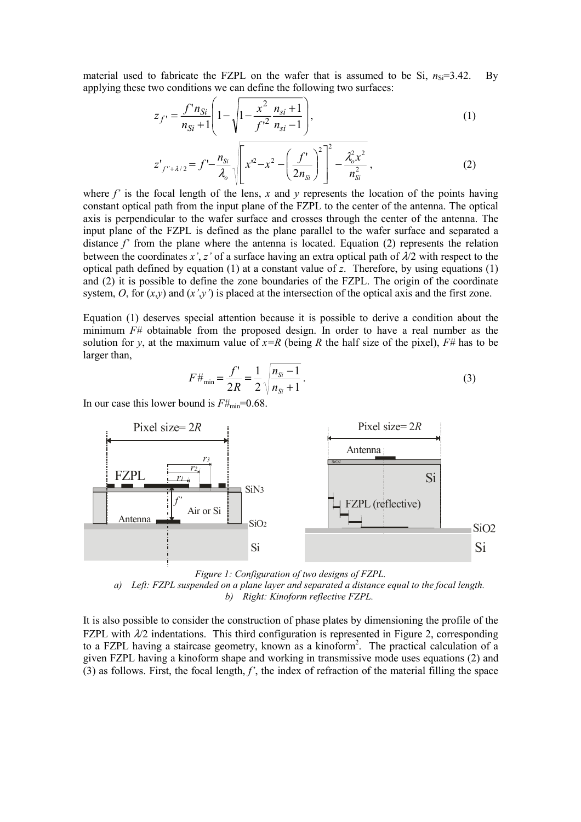material used to fabricate the FZPL on the wafer that is assumed to be Si,  $n_{\text{Si}}=3.42$ . By applying these two conditions we can define the following two surfaces:

$$
z_{f'} = \frac{f' n_{Si}}{n_{Si} + 1} \left( 1 - \sqrt{1 - \frac{x^2}{f'^2} \frac{n_{si} + 1}{n_{si} - 1}} \right),
$$
 (1)

$$
z'_{f'' + \lambda/2} = f' - \frac{n_{Si}}{\lambda_o} \sqrt{\left[ x'^2 - x^2 - \left( \frac{f'}{2n_{Si}} \right)^2 \right]^2 - \frac{\lambda_o^2 x^2}{n_{Si}^2}},
$$
 (2)

where  $f'$  is the focal length of the lens,  $x$  and  $y$  represents the location of the points having constant optical path from the input plane of the FZPL to the center of the antenna. The optical axis is perpendicular to the wafer surface and crosses through the center of the antenna. The input plane of the FZPL is defined as the plane parallel to the wafer surface and separated a distance *f'* from the plane where the antenna is located. Equation (2) represents the relation between the coordinates *x'*, *z'* of a surface having an extra optical path of  $\lambda/2$  with respect to the optical path defined by equation (1) at a constant value of *z*. Therefore, by using equations (1) and (2) it is possible to define the zone boundaries of the FZPL. The origin of the coordinate system, *O*, for  $(x,y)$  and  $(x',y')$  is placed at the intersection of the optical axis and the first zone.

Equation (1) deserves special attention because it is possible to derive a condition about the minimum *F#* obtainable from the proposed design. In order to have a real number as the solution for *y*, at the maximum value of  $x=R$  (being R the half size of the pixel),  $F#$  has to be larger than,

$$
F \#_{\min} = \frac{f'}{2R} = \frac{1}{2} \sqrt{\frac{n_{Si} - 1}{n_{Si} + 1}}.
$$
 (3)

In our case this lower bound is  $F#_{min}=0.68$ .



*Figure 1: Configuration of two designs of FZPL. a) Left: FZPL suspended on a plane layer and separated a distance equal to the focal length. b) Right: Kinoform reflective FZPL.* 

It is also possible to consider the construction of phase plates by dimensioning the profile of the FZPL with  $\lambda/2$  indentations. This third configuration is represented in Figure 2, corresponding to a FZPL having a staircase geometry, known as a kinoform<sup>2</sup>. The practical calculation of a given FZPL having a kinoform shape and working in transmissive mode uses equations (2) and (3) as follows. First, the focal length, *f'*, the index of refraction of the material filling the space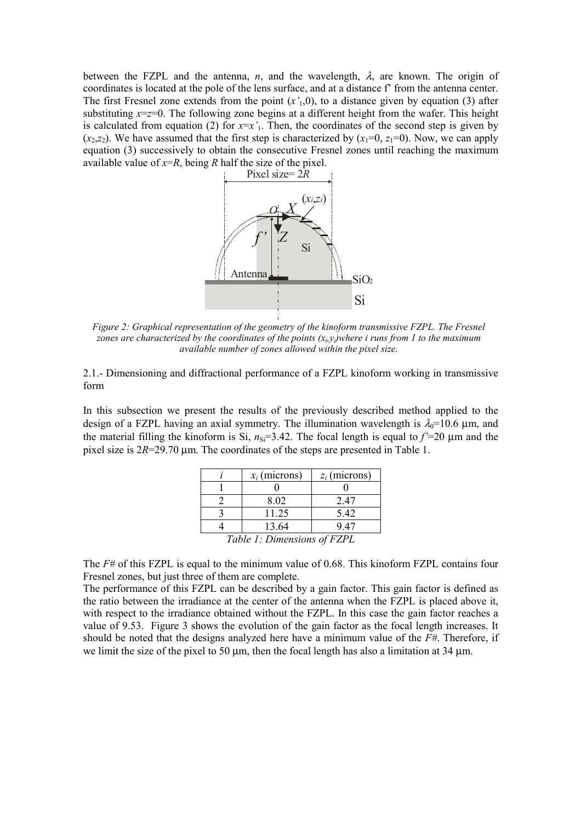between the FZPL and the antenna,  $n$ , and the wavelength,  $\lambda$ , are known. The origin of coordinates is located at the pole of the lens surface, and at a distance f' from the antenna center. The first Fresnel zone extends from the point  $(x<sub>1</sub>,0)$ , to a distance given by equation (3) after substituting  $x = z = 0$ . The following zone begins at a different height from the wafer. This height is calculated from equation (2) for  $x=x'$ . Then, the coordinates of the second step is given by  $(x_2, z_2)$ . We have assumed that the first step is characterized by  $(x_1=0, z_1=0)$ . Now, we can apply equation (3) successively to obtain the consecutive Fresnel zones until reaching the maximum available value of  $x=R$ , being *R* half the size of the pixel.



*Figure 2: Graphical representation of the geometry of the kinoform transmissive FZPL. The Fresnel*  zones are characterized by the coordinates of the points  $(x_i, y_i)$  where i runs from 1 to the maximum *available number of zones allowed within the pixel size.* 

2.1.- Dimensioning and diffractional performance of a FZPL kinoform working in transmissive form

In this subsection we present the results of the previously described method applied to the design of a FZPL having an axial symmetry. The illumination wavelength is  $\lambda_0=10.6$  µm, and the material filling the kinoform is Si,  $n_{\text{Si}}=3.42$ . The focal length is equal to  $f'=20 \mu m$  and the pixel size is  $2R=29.70 \mu m$ . The coordinates of the steps are presented in Table 1.

|                             | $x_i$ (microns) | $z_i$ (microns) |  |  |
|-----------------------------|-----------------|-----------------|--|--|
|                             |                 |                 |  |  |
|                             | 8.02            | 2.47            |  |  |
|                             | 11.25           | 5.42            |  |  |
|                             | 13.64           | 947             |  |  |
| Table 1: Dimensions of EZPI |                 |                 |  |  |

*Table 1: Dimensions of FZPL* 

The *F#* of this FZPL is equal to the minimum value of 0.68. This kinoform FZPL contains four Fresnel zones, but just three of them are complete.

The performance of this FZPL can be described by a gain factor. This gain factor is defined as the ratio between the irradiance at the center of the antenna when the FZPL is placed above it, with respect to the irradiance obtained without the FZPL. In this case the gain factor reaches a value of 9.53. Figure 3 shows the evolution of the gain factor as the focal length increases. It should be noted that the designs analyzed here have a minimum value of the *F#*. Therefore, if we limit the size of the pixel to 50  $\mu$ m, then the focal length has also a limitation at 34  $\mu$ m.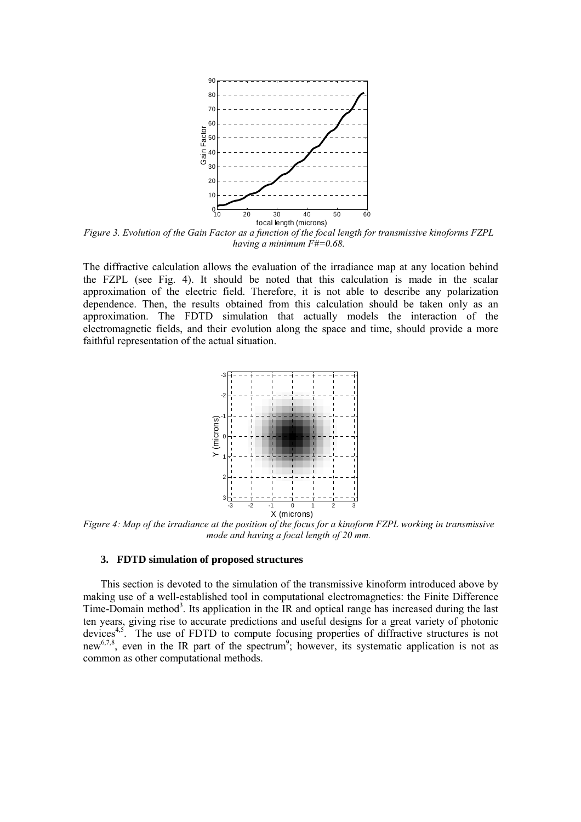

*Figure 3. Evolution of the Gain Factor as a function of the focal length for transmissive kinoforms FZPL having a minimum F#=0.68.* 

The diffractive calculation allows the evaluation of the irradiance map at any location behind the FZPL (see Fig. 4). It should be noted that this calculation is made in the scalar approximation of the electric field. Therefore, it is not able to describe any polarization dependence. Then, the results obtained from this calculation should be taken only as an approximation. The FDTD simulation that actually models the interaction of the electromagnetic fields, and their evolution along the space and time, should provide a more faithful representation of the actual situation.



*Figure 4: Map of the irradiance at the position of the focus for a kinoform FZPL working in transmissive mode and having a focal length of 20 mm.* 

### **3. FDTD simulation of proposed structures**

This section is devoted to the simulation of the transmissive kinoform introduced above by making use of a well-established tool in computational electromagnetics: the Finite Difference Time-Domain method<sup>3</sup>. Its application in the IR and optical range has increased during the last ten years, giving rise to accurate predictions and useful designs for a great variety of photonic devices<sup>4,5</sup>. The use of FDTD to compute focusing properties of diffractive structures is not new<sup>6,7,8</sup>, even in the IR part of the spectrum<sup>9</sup>; however, its systematic application is not as common as other computational methods.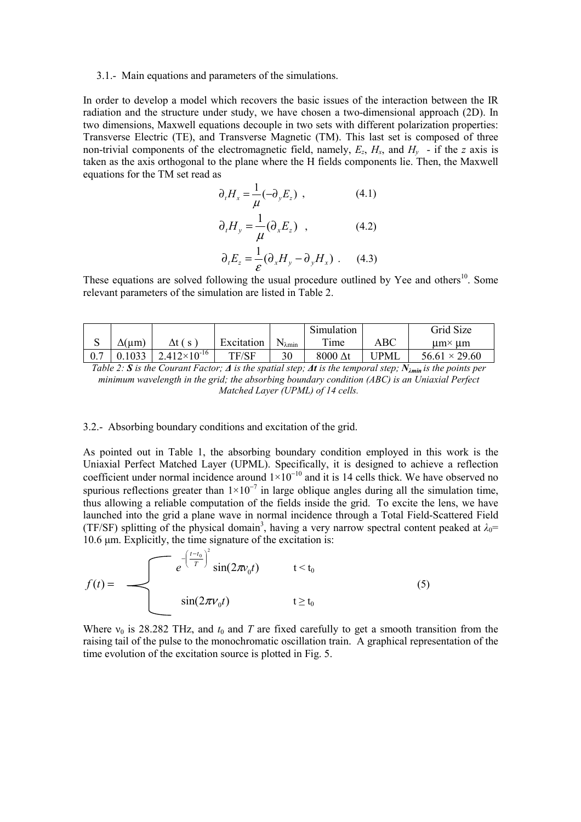#### 3.1.- Main equations and parameters of the simulations.

In order to develop a model which recovers the basic issues of the interaction between the IR radiation and the structure under study, we have chosen a two-dimensional approach (2D). In two dimensions, Maxwell equations decouple in two sets with different polarization properties: Transverse Electric (TE), and Transverse Magnetic (TM). This last set is composed of three non-trivial components of the electromagnetic field, namely,  $E_z$ ,  $H_x$ , and  $H_y$  - if the *z* axis is taken as the axis orthogonal to the plane where the H fields components lie. Then, the Maxwell equations for the TM set read as

$$
\partial_t H_x = \frac{1}{\mu} (-\partial_y E_z) , \qquad (4.1)
$$

$$
\partial_t H_y = \frac{1}{\mu} (\partial_x E_z) , \qquad (4.2)
$$

$$
\partial_t E_z = \frac{1}{\varepsilon} (\partial_x H_y - \partial_y H_x) . \qquad (4.3)
$$

These equations are solved following the usual procedure outlined by Yee and others<sup>10</sup>. Some relevant parameters of the simulation are listed in Table 2.

|   |               |                       |            |                   | Simulation |        | Grid Size                    |
|---|---------------|-----------------------|------------|-------------------|------------|--------|------------------------------|
| ື | $\Delta$ (um) | ∆t (<br>S             | Excitation | $N_{\lambda min}$ | $T$ ime    | ABC    | $\text{um} \times \text{um}$ |
|   | 0.1033        | $2.412\times10^{-16}$ | TF/SF      | 30                | 8000 At    | ' JPML | $56.61 \times 29.60$         |

*Table 2: S is the Courant Factor; ∆ is the spatial step; ∆t is the temporal step; Nλmin is the points per minimum wavelength in the grid; the absorbing boundary condition (ABC) is an Uniaxial Perfect Matched Layer (UPML) of 14 cells.* 

#### 3.2.- Absorbing boundary conditions and excitation of the grid.

As pointed out in Table 1, the absorbing boundary condition employed in this work is the Uniaxial Perfect Matched Layer (UPML). Specifically, it is designed to achieve a reflection coefficient under normal incidence around  $1\times10^{-10}$  and it is 14 cells thick. We have observed no spurious reflections greater than  $1 \times 10^{-7}$  in large oblique angles during all the simulation time, thus allowing a reliable computation of the fields inside the grid. To excite the lens, we have launched into the grid a plane wave in normal incidence through a Total Field-Scattered Field (TF/SF) splitting of the physical domain<sup>3</sup>, having a very narrow spectral content peaked at  $\lambda_0$ = 10.6 µm. Explicitly, the time signature of the excitation is:

$$
f(t) = \frac{e^{-\left(\frac{t-t_0}{T}\right)^2} \sin(2\pi v_0 t)}{\sin(2\pi v_0 t)} \qquad t < t_0
$$
\n
$$
\sin(2\pi v_0 t) \qquad t \ge t_0
$$
\n(5)

Where  $v_0$  is 28.282 THz, and  $t_0$  and T are fixed carefully to get a smooth transition from the raising tail of the pulse to the monochromatic oscillation train. A graphical representation of the time evolution of the excitation source is plotted in Fig. 5.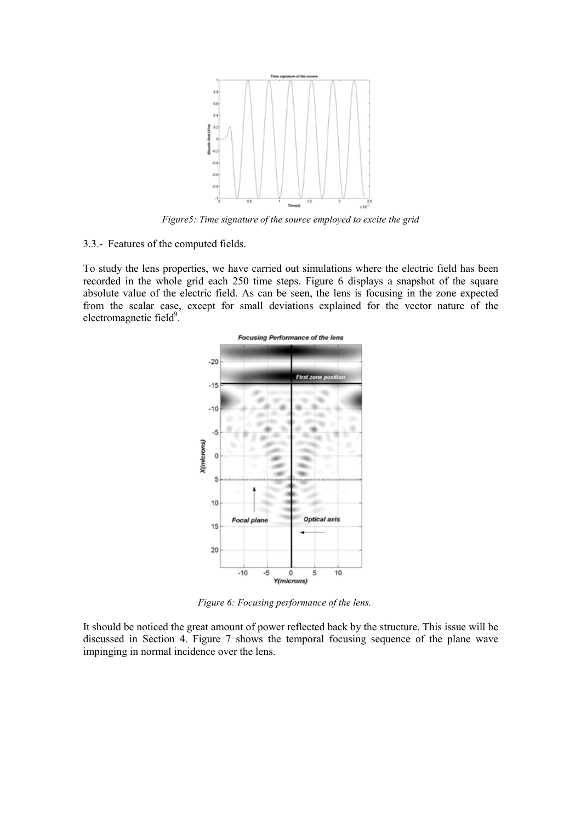

*Figure5: Time signature of the source employed to excite the grid*

3.3.- Features of the computed fields.

To study the lens properties, we have carried out simulations where the electric field has been recorded in the whole grid each 250 time steps. Figure 6 displays a snapshot of the square absolute value of the electric field. As can be seen, the lens is focusing in the zone expected from the scalar case, except for small deviations explained for the vector nature of the electromagnetic field<sup>9</sup>.



*Figure 6: Focusing performance of the lens.* 

It should be noticed the great amount of power reflected back by the structure. This issue will be discussed in Section 4. Figure 7 shows the temporal focusing sequence of the plane wave impinging in normal incidence over the lens.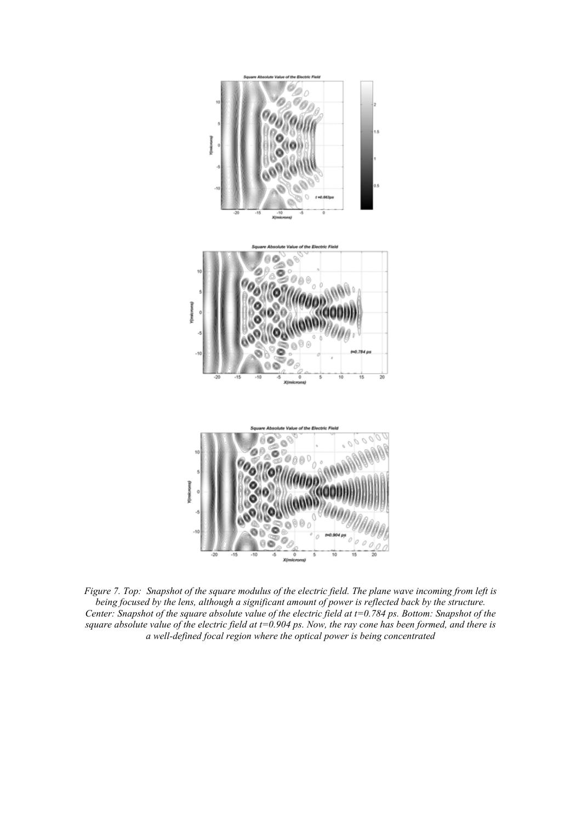

*Figure 7. Top: Snapshot of the square modulus of the electric field. The plane wave incoming from left is being focused by the lens, although a significant amount of power is reflected back by the structure. Center: Snapshot of the square absolute value of the electric field at t=0.784 ps. Bottom: Snapshot of the square absolute value of the electric field at t=0.904 ps. Now, the ray cone has been formed, and there is a well-defined focal region where the optical power is being concentrated*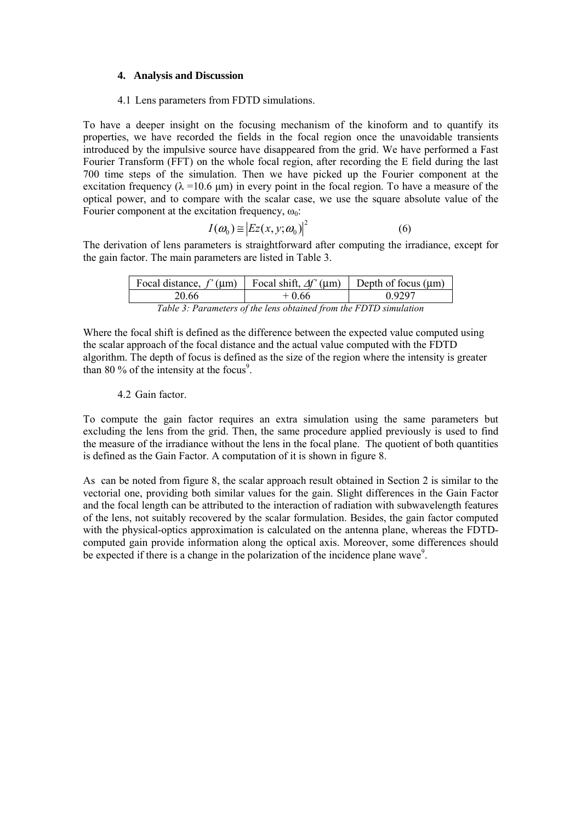## **4. Analysis and Discussion**

#### 4.1 Lens parameters from FDTD simulations.

To have a deeper insight on the focusing mechanism of the kinoform and to quantify its properties, we have recorded the fields in the focal region once the unavoidable transients introduced by the impulsive source have disappeared from the grid. We have performed a Fast Fourier Transform (FFT) on the whole focal region, after recording the E field during the last 700 time steps of the simulation. Then we have picked up the Fourier component at the excitation frequency ( $\lambda$  =10.6 µm) in every point in the focal region. To have a measure of the optical power, and to compare with the scalar case, we use the square absolute value of the Fourier component at the excitation frequency,  $\omega_0$ :

$$
I(\omega_0) \cong \big| Ez(x, y; \omega_0) \big|^2 \tag{6}
$$

The derivation of lens parameters is straightforward after computing the irradiance, except for the gain factor. The main parameters are listed in Table 3.

| Focal distance, $f'(µm)$                                          | Focal shift, $\Delta f'$ (µm) | Depth of focus $(\mu m)$ |  |  |  |  |
|-------------------------------------------------------------------|-------------------------------|--------------------------|--|--|--|--|
| 20.66                                                             | $+0.66$                       | 0.9297                   |  |  |  |  |
| Table 3: Parameters of the lens obtained from the FDTD simulation |                               |                          |  |  |  |  |

Where the focal shift is defined as the difference between the expected value computed using the scalar approach of the focal distance and the actual value computed with the FDTD algorithm. The depth of focus is defined as the size of the region where the intensity is greater than 80  $\%$  of the intensity at the focus<sup>9</sup>.

#### 4.2 Gain factor.

To compute the gain factor requires an extra simulation using the same parameters but excluding the lens from the grid. Then, the same procedure applied previously is used to find the measure of the irradiance without the lens in the focal plane. The quotient of both quantities is defined as the Gain Factor. A computation of it is shown in figure 8.

As can be noted from figure 8, the scalar approach result obtained in Section 2 is similar to the vectorial one, providing both similar values for the gain. Slight differences in the Gain Factor and the focal length can be attributed to the interaction of radiation with subwavelength features of the lens, not suitably recovered by the scalar formulation. Besides, the gain factor computed with the physical-optics approximation is calculated on the antenna plane, whereas the FDTDcomputed gain provide information along the optical axis. Moreover, some differences should be expected if there is a change in the polarization of the incidence plane wave<sup>9</sup>.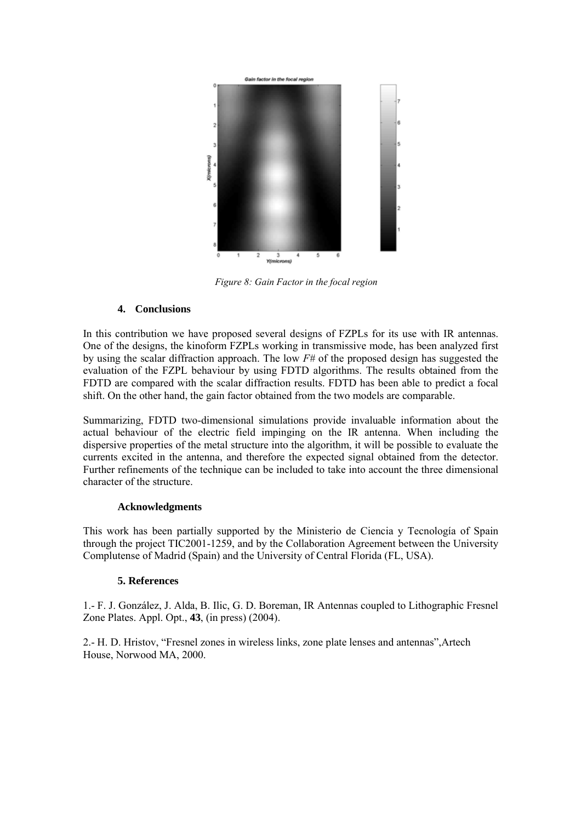

*Figure 8: Gain Factor in the focal region* 

# **4. Conclusions**

In this contribution we have proposed several designs of FZPLs for its use with IR antennas. One of the designs, the kinoform FZPLs working in transmissive mode, has been analyzed first by using the scalar diffraction approach. The low *F#* of the proposed design has suggested the evaluation of the FZPL behaviour by using FDTD algorithms. The results obtained from the FDTD are compared with the scalar diffraction results. FDTD has been able to predict a focal shift. On the other hand, the gain factor obtained from the two models are comparable.

Summarizing, FDTD two-dimensional simulations provide invaluable information about the actual behaviour of the electric field impinging on the IR antenna. When including the dispersive properties of the metal structure into the algorithm, it will be possible to evaluate the currents excited in the antenna, and therefore the expected signal obtained from the detector. Further refinements of the technique can be included to take into account the three dimensional character of the structure.

## **Acknowledgments**

This work has been partially supported by the Ministerio de Ciencia y Tecnología of Spain through the project TIC2001-1259, and by the Collaboration Agreement between the University Complutense of Madrid (Spain) and the University of Central Florida (FL, USA).

# **5. References**

1.- F. J. González, J. Alda, B. Ilic, G. D. Boreman, IR Antennas coupled to Lithographic Fresnel Zone Plates. Appl. Opt., **43**, (in press) (2004).

2.- H. D. Hristov, "Fresnel zones in wireless links, zone plate lenses and antennas",Artech House, Norwood MA, 2000.